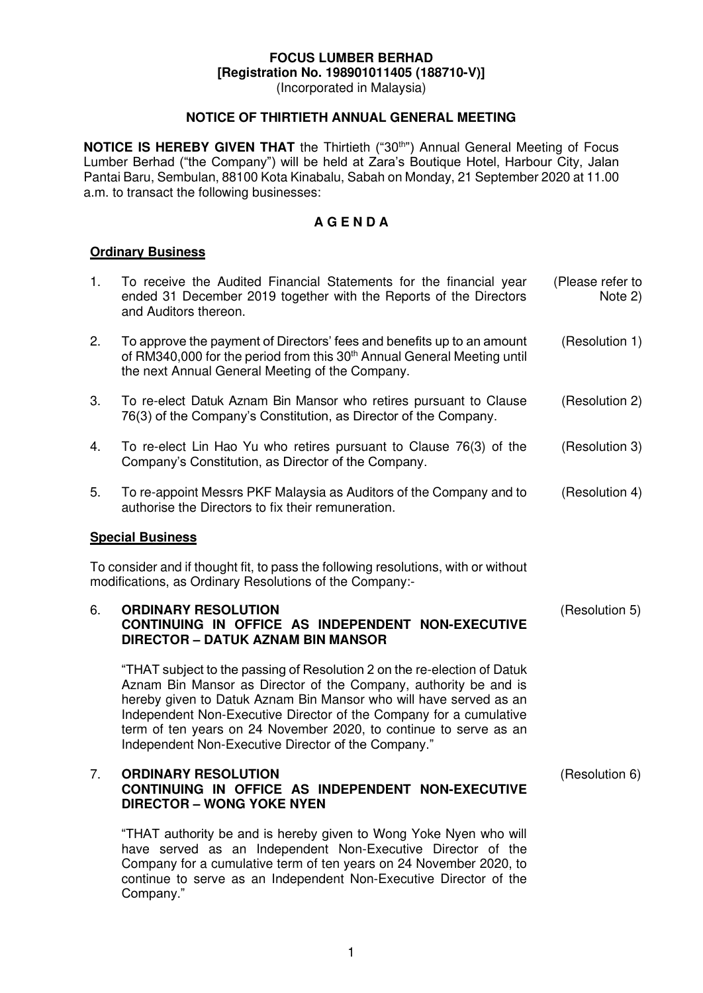## **FOCUS LUMBER BERHAD [Registration No. 198901011405 (188710-V)]**

(Incorporated in Malaysia)

## **NOTICE OF THIRTIETH ANNUAL GENERAL MEETING**

**NOTICE IS HEREBY GIVEN THAT** the Thirtieth ("30<sup>th</sup>") Annual General Meeting of Focus Lumber Berhad ("the Company") will be held at Zara's Boutique Hotel, Harbour City, Jalan Pantai Baru, Sembulan, 88100 Kota Kinabalu, Sabah on Monday, 21 September 2020 at 11.00 a.m. to transact the following businesses:

## **A G E N D A**

#### **Ordinary Business**

| 1.                                                                                                                                            | To receive the Audited Financial Statements for the financial year<br>ended 31 December 2019 together with the Reports of the Directors<br>and Auditors thereon.                                                                                                                                                                                                                                                    | (Please refer to<br>Note 2) |
|-----------------------------------------------------------------------------------------------------------------------------------------------|---------------------------------------------------------------------------------------------------------------------------------------------------------------------------------------------------------------------------------------------------------------------------------------------------------------------------------------------------------------------------------------------------------------------|-----------------------------|
| 2.                                                                                                                                            | To approve the payment of Directors' fees and benefits up to an amount<br>of RM340,000 for the period from this 30 <sup>th</sup> Annual General Meeting until<br>the next Annual General Meeting of the Company.                                                                                                                                                                                                    | (Resolution 1)              |
| 3.                                                                                                                                            | To re-elect Datuk Aznam Bin Mansor who retires pursuant to Clause<br>76(3) of the Company's Constitution, as Director of the Company.                                                                                                                                                                                                                                                                               | (Resolution 2)              |
| 4.                                                                                                                                            | To re-elect Lin Hao Yu who retires pursuant to Clause 76(3) of the<br>Company's Constitution, as Director of the Company.                                                                                                                                                                                                                                                                                           | (Resolution 3)              |
| 5.                                                                                                                                            | To re-appoint Messrs PKF Malaysia as Auditors of the Company and to<br>authorise the Directors to fix their remuneration.                                                                                                                                                                                                                                                                                           | (Resolution 4)              |
| <b>Special Business</b>                                                                                                                       |                                                                                                                                                                                                                                                                                                                                                                                                                     |                             |
| To consider and if thought fit, to pass the following resolutions, with or without<br>modifications, as Ordinary Resolutions of the Company:- |                                                                                                                                                                                                                                                                                                                                                                                                                     |                             |
| 6.                                                                                                                                            | <b>ORDINARY RESOLUTION</b><br>CONTINUING IN OFFICE AS INDEPENDENT NON-EXECUTIVE<br><b>DIRECTOR - DATUK AZNAM BIN MANSOR</b>                                                                                                                                                                                                                                                                                         | (Resolution 5)              |
|                                                                                                                                               | "THAT subject to the passing of Resolution 2 on the re-election of Datuk<br>Aznam Bin Mansor as Director of the Company, authority be and is<br>hereby given to Datuk Aznam Bin Mansor who will have served as an<br>Independent Non-Executive Director of the Company for a cumulative<br>term of ten years on 24 November 2020, to continue to serve as an<br>Independent Non-Executive Director of the Company." |                             |
| 7.                                                                                                                                            | <b>ORDINARY RESOLUTION</b><br>CONTINUING IN OFFICE AS INDEPENDENT NON-EXECUTIVE<br><b>DIRECTOR - WONG YOKE NYEN</b>                                                                                                                                                                                                                                                                                                 | (Resolution 6)              |
|                                                                                                                                               | "THAT authority be and is hereby given to Wong Yoke Nyen who will<br>have served as an Independent Non-Executive Director of the                                                                                                                                                                                                                                                                                    |                             |

have served as an Independent Non-Executive Director of the Company for a cumulative term of ten years on 24 November 2020, to continue to serve as an Independent Non-Executive Director of the Company."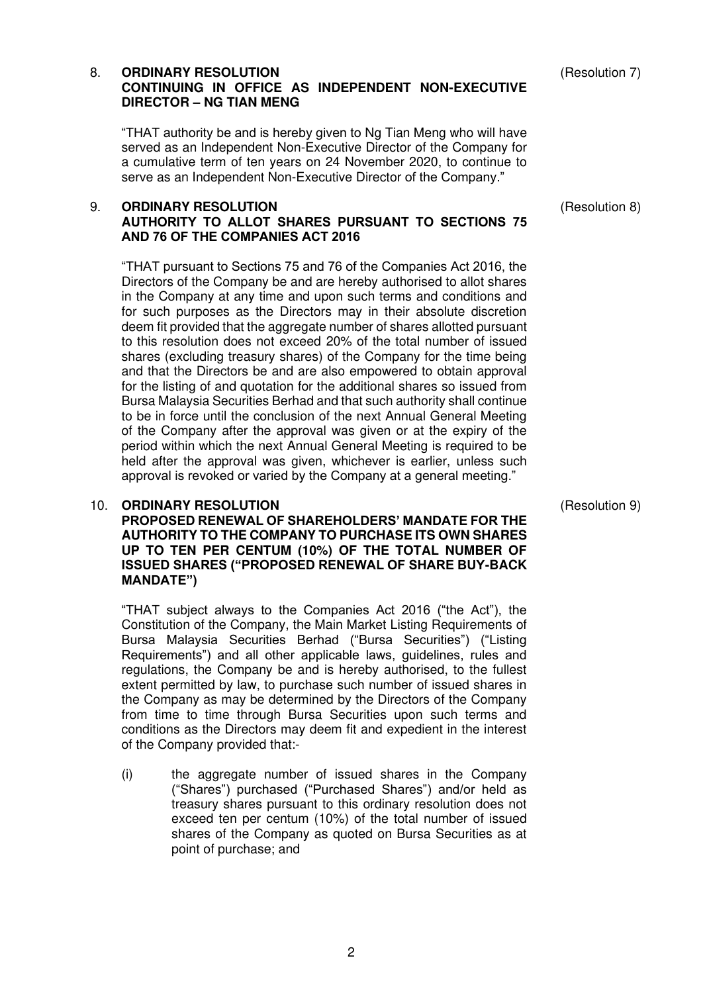## 8. **ORDINARY RESOLUTION CONTINUING IN OFFICE AS INDEPENDENT NON-EXECUTIVE DIRECTOR – NG TIAN MENG**

"THAT authority be and is hereby given to Ng Tian Meng who will have served as an Independent Non-Executive Director of the Company for a cumulative term of ten years on 24 November 2020, to continue to serve as an Independent Non-Executive Director of the Company."

## 9. **ORDINARY RESOLUTION AUTHORITY TO ALLOT SHARES PURSUANT TO SECTIONS 75 AND 76 OF THE COMPANIES ACT 2016**

"THAT pursuant to Sections 75 and 76 of the Companies Act 2016, the Directors of the Company be and are hereby authorised to allot shares in the Company at any time and upon such terms and conditions and for such purposes as the Directors may in their absolute discretion deem fit provided that the aggregate number of shares allotted pursuant to this resolution does not exceed 20% of the total number of issued shares (excluding treasury shares) of the Company for the time being and that the Directors be and are also empowered to obtain approval for the listing of and quotation for the additional shares so issued from Bursa Malaysia Securities Berhad and that such authority shall continue to be in force until the conclusion of the next Annual General Meeting of the Company after the approval was given or at the expiry of the period within which the next Annual General Meeting is required to be held after the approval was given, whichever is earlier, unless such approval is revoked or varied by the Company at a general meeting."

## 10. **ORDINARY RESOLUTION**

**PROPOSED RENEWAL OF SHAREHOLDERS' MANDATE FOR THE AUTHORITY TO THE COMPANY TO PURCHASE ITS OWN SHARES UP TO TEN PER CENTUM (10%) OF THE TOTAL NUMBER OF ISSUED SHARES ("PROPOSED RENEWAL OF SHARE BUY-BACK MANDATE")**

"THAT subject always to the Companies Act 2016 ("the Act"), the Constitution of the Company, the Main Market Listing Requirements of Bursa Malaysia Securities Berhad ("Bursa Securities") ("Listing Requirements") and all other applicable laws, guidelines, rules and regulations, the Company be and is hereby authorised, to the fullest extent permitted by law, to purchase such number of issued shares in the Company as may be determined by the Directors of the Company from time to time through Bursa Securities upon such terms and conditions as the Directors may deem fit and expedient in the interest of the Company provided that:-

(i) the aggregate number of issued shares in the Company ("Shares") purchased ("Purchased Shares") and/or held as treasury shares pursuant to this ordinary resolution does not exceed ten per centum (10%) of the total number of issued shares of the Company as quoted on Bursa Securities as at point of purchase; and

(Resolution 9)

(Resolution 7)

(Resolution 8)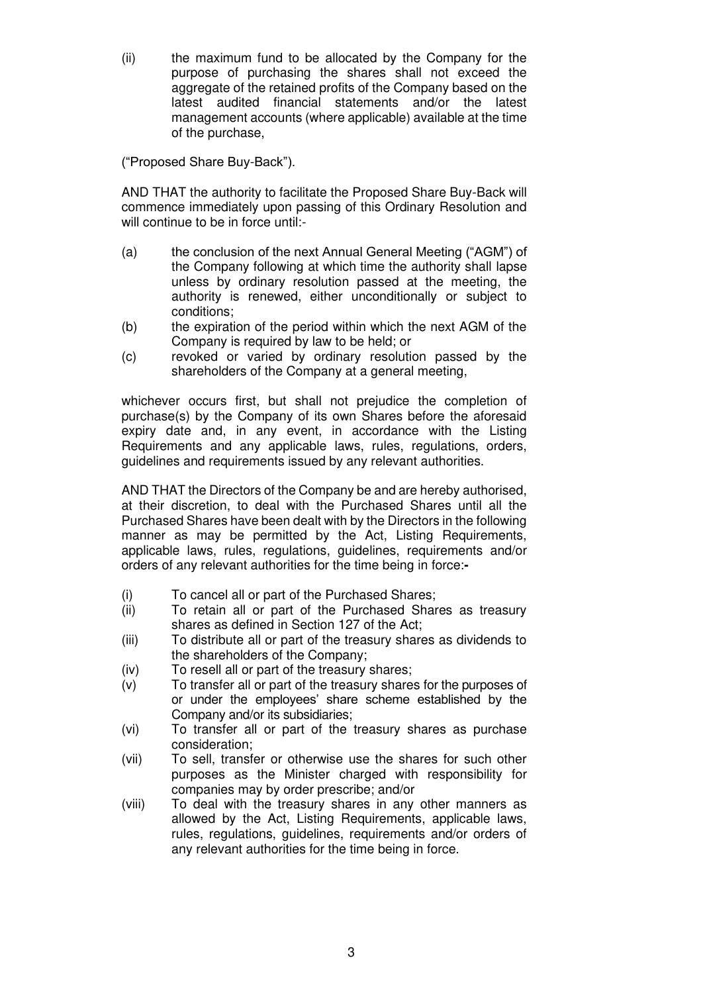(ii) the maximum fund to be allocated by the Company for the purpose of purchasing the shares shall not exceed the aggregate of the retained profits of the Company based on the latest audited financial statements and/or the latest management accounts (where applicable) available at the time of the purchase,

("Proposed Share Buy-Back").

AND THAT the authority to facilitate the Proposed Share Buy-Back will commence immediately upon passing of this Ordinary Resolution and will continue to be in force until:-

- (a) the conclusion of the next Annual General Meeting ("AGM") of the Company following at which time the authority shall lapse unless by ordinary resolution passed at the meeting, the authority is renewed, either unconditionally or subject to conditions;
- (b) the expiration of the period within which the next AGM of the Company is required by law to be held; or
- (c) revoked or varied by ordinary resolution passed by the shareholders of the Company at a general meeting,

whichever occurs first, but shall not prejudice the completion of purchase(s) by the Company of its own Shares before the aforesaid expiry date and, in any event, in accordance with the Listing Requirements and any applicable laws, rules, regulations, orders, guidelines and requirements issued by any relevant authorities.

AND THAT the Directors of the Company be and are hereby authorised, at their discretion, to deal with the Purchased Shares until all the Purchased Shares have been dealt with by the Directors in the following manner as may be permitted by the Act, Listing Requirements, applicable laws, rules, regulations, guidelines, requirements and/or orders of any relevant authorities for the time being in force:**-** 

- (i) To cancel all or part of the Purchased Shares;
- (ii) To retain all or part of the Purchased Shares as treasury shares as defined in Section 127 of the Act;
- (iii) To distribute all or part of the treasury shares as dividends to the shareholders of the Company;
- (iv) To resell all or part of the treasury shares;
- (v) To transfer all or part of the treasury shares for the purposes of or under the employees' share scheme established by the Company and/or its subsidiaries;
- (vi) To transfer all or part of the treasury shares as purchase consideration;
- (vii) To sell, transfer or otherwise use the shares for such other purposes as the Minister charged with responsibility for companies may by order prescribe; and/or
- (viii) To deal with the treasury shares in any other manners as allowed by the Act, Listing Requirements, applicable laws, rules, regulations, guidelines, requirements and/or orders of any relevant authorities for the time being in force.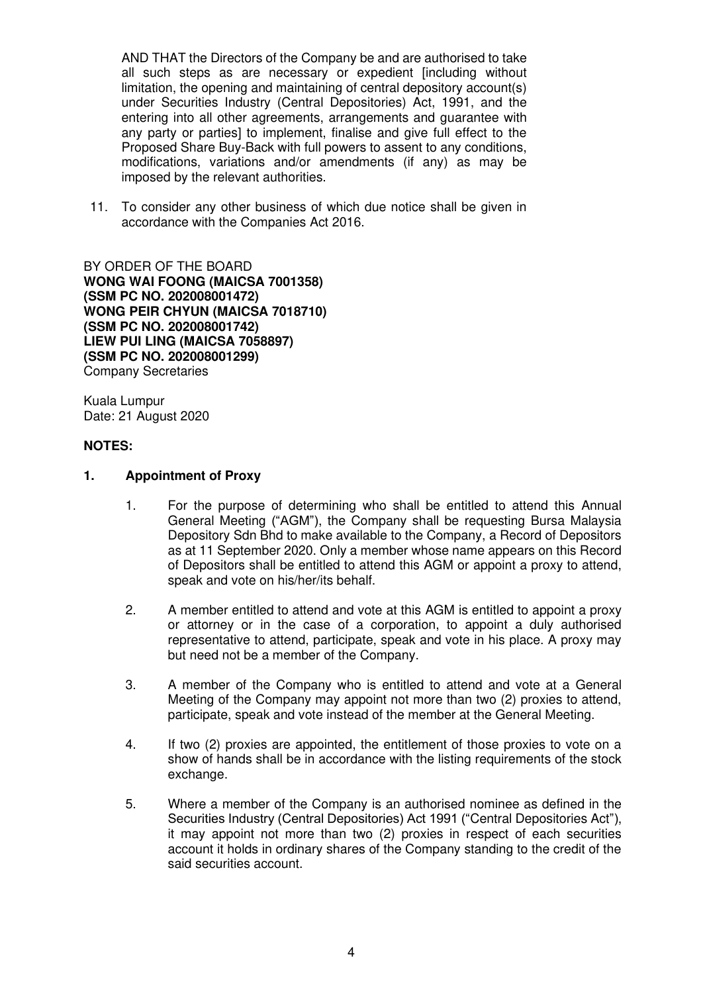AND THAT the Directors of the Company be and are authorised to take all such steps as are necessary or expedient lincluding without limitation, the opening and maintaining of central depository account(s) under Securities Industry (Central Depositories) Act, 1991, and the entering into all other agreements, arrangements and guarantee with any party or parties] to implement, finalise and give full effect to the Proposed Share Buy-Back with full powers to assent to any conditions, modifications, variations and/or amendments (if any) as may be imposed by the relevant authorities.

11. To consider any other business of which due notice shall be given in accordance with the Companies Act 2016.

BY ORDER OF THE BOARD **WONG WAI FOONG (MAICSA 7001358) (SSM PC NO. 202008001472) WONG PEIR CHYUN (MAICSA 7018710) (SSM PC NO. 202008001742) LIEW PUI LING (MAICSA 7058897) (SSM PC NO. 202008001299)**  Company Secretaries

Kuala Lumpur Date: 21 August 2020

## **NOTES:**

#### **1. Appointment of Proxy**

- 1. For the purpose of determining who shall be entitled to attend this Annual General Meeting ("AGM"), the Company shall be requesting Bursa Malaysia Depository Sdn Bhd to make available to the Company, a Record of Depositors as at 11 September 2020. Only a member whose name appears on this Record of Depositors shall be entitled to attend this AGM or appoint a proxy to attend, speak and vote on his/her/its behalf.
- 2. A member entitled to attend and vote at this AGM is entitled to appoint a proxy or attorney or in the case of a corporation, to appoint a duly authorised representative to attend, participate, speak and vote in his place. A proxy may but need not be a member of the Company.
- 3. A member of the Company who is entitled to attend and vote at a General Meeting of the Company may appoint not more than two (2) proxies to attend, participate, speak and vote instead of the member at the General Meeting.
- 4. If two (2) proxies are appointed, the entitlement of those proxies to vote on a show of hands shall be in accordance with the listing requirements of the stock exchange.
- 5. Where a member of the Company is an authorised nominee as defined in the Securities Industry (Central Depositories) Act 1991 ("Central Depositories Act"), it may appoint not more than two (2) proxies in respect of each securities account it holds in ordinary shares of the Company standing to the credit of the said securities account.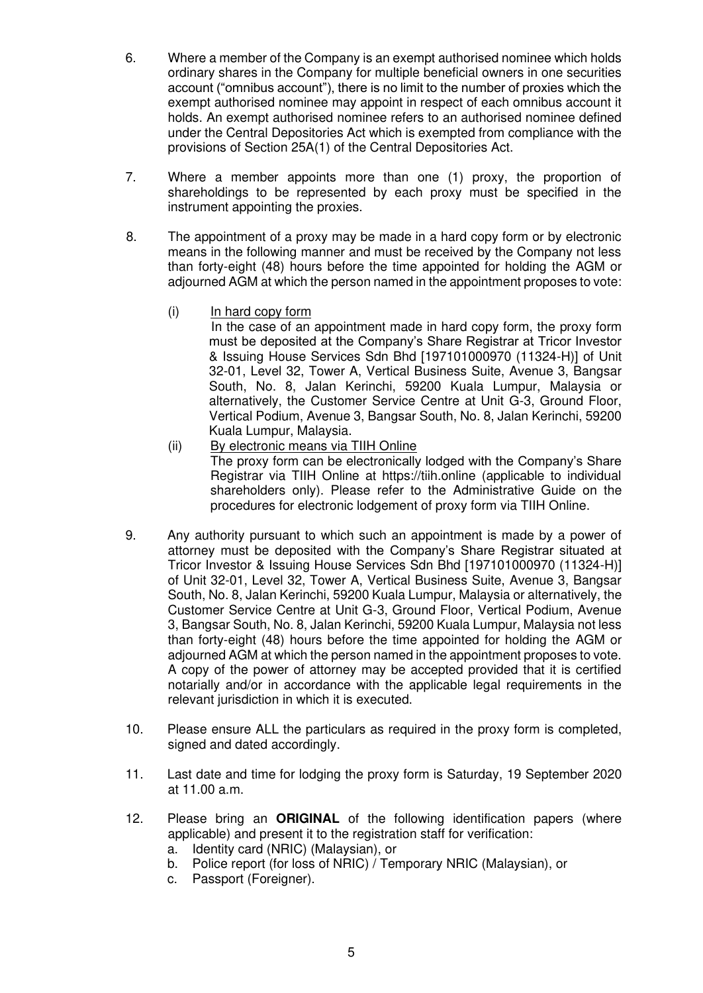- 6. Where a member of the Company is an exempt authorised nominee which holds ordinary shares in the Company for multiple beneficial owners in one securities account ("omnibus account"), there is no limit to the number of proxies which the exempt authorised nominee may appoint in respect of each omnibus account it holds. An exempt authorised nominee refers to an authorised nominee defined under the Central Depositories Act which is exempted from compliance with the provisions of Section 25A(1) of the Central Depositories Act.
- 7. Where a member appoints more than one (1) proxy, the proportion of shareholdings to be represented by each proxy must be specified in the instrument appointing the proxies.
- 8. The appointment of a proxy may be made in a hard copy form or by electronic means in the following manner and must be received by the Company not less than forty-eight (48) hours before the time appointed for holding the AGM or adjourned AGM at which the person named in the appointment proposes to vote:
	- (i) In hard copy form In the case of an appointment made in hard copy form, the proxy form must be deposited at the Company's Share Registrar at Tricor Investor & Issuing House Services Sdn Bhd [197101000970 (11324-H)] of Unit 32-01, Level 32, Tower A, Vertical Business Suite, Avenue 3, Bangsar South, No. 8, Jalan Kerinchi, 59200 Kuala Lumpur, Malaysia or alternatively, the Customer Service Centre at Unit G-3, Ground Floor, Vertical Podium, Avenue 3, Bangsar South, No. 8, Jalan Kerinchi, 59200 Kuala Lumpur, Malaysia.
	- (ii) By electronic means via TIIH Online The proxy form can be electronically lodged with the Company's Share Registrar via TIIH Online at https://tiih.online (applicable to individual shareholders only). Please refer to the Administrative Guide on the procedures for electronic lodgement of proxy form via TIIH Online.
- 9. Any authority pursuant to which such an appointment is made by a power of attorney must be deposited with the Company's Share Registrar situated at Tricor Investor & Issuing House Services Sdn Bhd [197101000970 (11324-H)] of Unit 32-01, Level 32, Tower A, Vertical Business Suite, Avenue 3, Bangsar South, No. 8, Jalan Kerinchi, 59200 Kuala Lumpur, Malaysia or alternatively, the Customer Service Centre at Unit G-3, Ground Floor, Vertical Podium, Avenue 3, Bangsar South, No. 8, Jalan Kerinchi, 59200 Kuala Lumpur, Malaysia not less than forty-eight (48) hours before the time appointed for holding the AGM or adjourned AGM at which the person named in the appointment proposes to vote. A copy of the power of attorney may be accepted provided that it is certified notarially and/or in accordance with the applicable legal requirements in the relevant jurisdiction in which it is executed.
- 10. Please ensure ALL the particulars as required in the proxy form is completed, signed and dated accordingly.
- 11. Last date and time for lodging the proxy form is Saturday, 19 September 2020 at 11.00 a.m.
- 12. Please bring an **ORIGINAL** of the following identification papers (where applicable) and present it to the registration staff for verification:
	- a. Identity card (NRIC) (Malaysian), or
	- b. Police report (for loss of NRIC) / Temporary NRIC (Malaysian), or
	- c. Passport (Foreigner).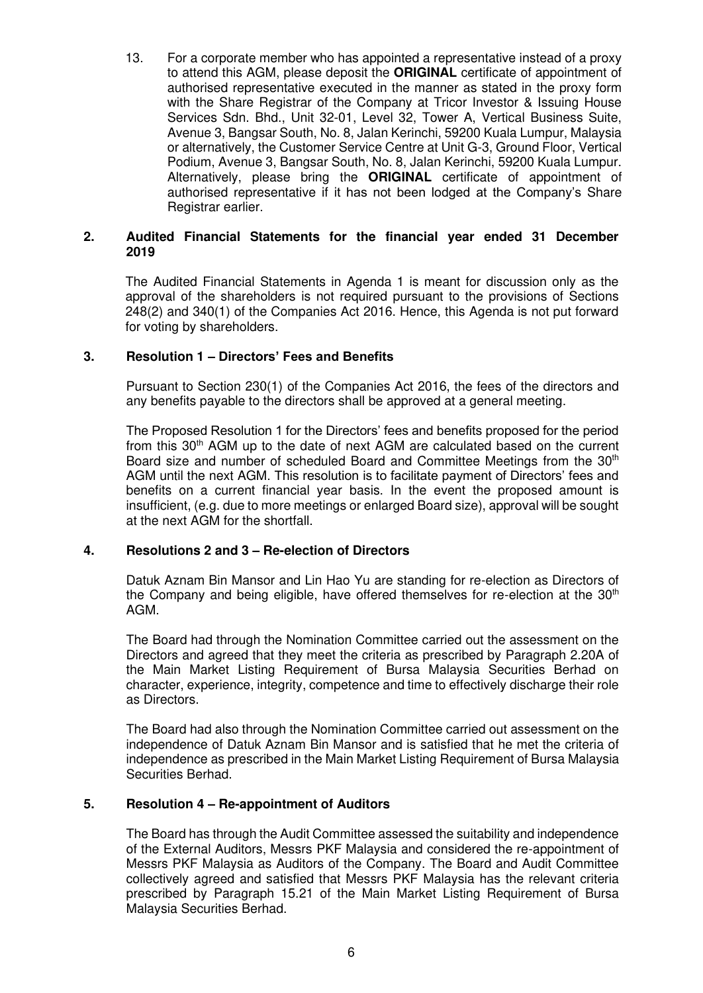13. For a corporate member who has appointed a representative instead of a proxy to attend this AGM, please deposit the **ORIGINAL** certificate of appointment of authorised representative executed in the manner as stated in the proxy form with the Share Registrar of the Company at Tricor Investor & Issuing House Services Sdn. Bhd., Unit 32-01, Level 32, Tower A, Vertical Business Suite, Avenue 3, Bangsar South, No. 8, Jalan Kerinchi, 59200 Kuala Lumpur, Malaysia or alternatively, the Customer Service Centre at Unit G-3, Ground Floor, Vertical Podium, Avenue 3, Bangsar South, No. 8, Jalan Kerinchi, 59200 Kuala Lumpur. Alternatively, please bring the **ORIGINAL** certificate of appointment of authorised representative if it has not been lodged at the Company's Share Registrar earlier.

## **2. Audited Financial Statements for the financial year ended 31 December 2019**

The Audited Financial Statements in Agenda 1 is meant for discussion only as the approval of the shareholders is not required pursuant to the provisions of Sections 248(2) and 340(1) of the Companies Act 2016. Hence, this Agenda is not put forward for voting by shareholders.

## **3. Resolution 1 – Directors' Fees and Benefits**

Pursuant to Section 230(1) of the Companies Act 2016, the fees of the directors and any benefits payable to the directors shall be approved at a general meeting.

The Proposed Resolution 1 for the Directors' fees and benefits proposed for the period from this  $30<sup>th</sup>$  AGM up to the date of next AGM are calculated based on the current Board size and number of scheduled Board and Committee Meetings from the 30<sup>th</sup> AGM until the next AGM. This resolution is to facilitate payment of Directors' fees and benefits on a current financial year basis. In the event the proposed amount is insufficient, (e.g. due to more meetings or enlarged Board size), approval will be sought at the next AGM for the shortfall.

## **4. Resolutions 2 and 3 – Re-election of Directors**

Datuk Aznam Bin Mansor and Lin Hao Yu are standing for re-election as Directors of the Company and being eligible, have offered themselves for re-election at the  $30<sup>th</sup>$ AGM.

The Board had through the Nomination Committee carried out the assessment on the Directors and agreed that they meet the criteria as prescribed by Paragraph 2.20A of the Main Market Listing Requirement of Bursa Malaysia Securities Berhad on character, experience, integrity, competence and time to effectively discharge their role as Directors.

The Board had also through the Nomination Committee carried out assessment on the independence of Datuk Aznam Bin Mansor and is satisfied that he met the criteria of independence as prescribed in the Main Market Listing Requirement of Bursa Malaysia Securities Berhad.

## **5. Resolution 4 – Re-appointment of Auditors**

The Board has through the Audit Committee assessed the suitability and independence of the External Auditors, Messrs PKF Malaysia and considered the re-appointment of Messrs PKF Malaysia as Auditors of the Company. The Board and Audit Committee collectively agreed and satisfied that Messrs PKF Malaysia has the relevant criteria prescribed by Paragraph 15.21 of the Main Market Listing Requirement of Bursa Malaysia Securities Berhad.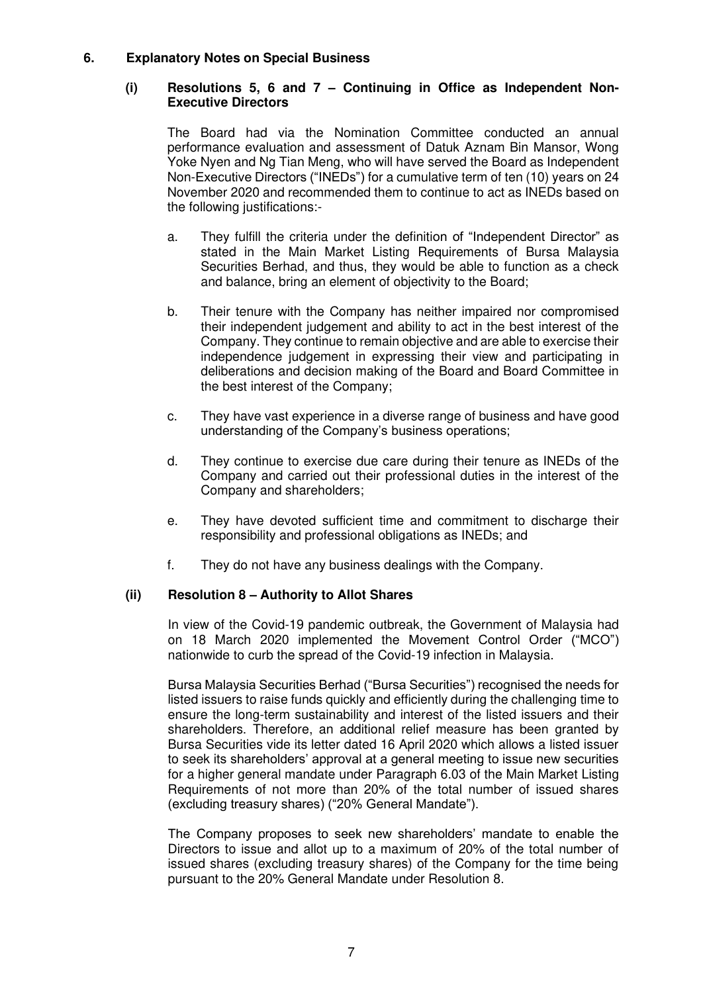## **6. Explanatory Notes on Special Business**

#### **(i) Resolutions 5, 6 and 7 – Continuing in Office as Independent Non-Executive Directors**

The Board had via the Nomination Committee conducted an annual performance evaluation and assessment of Datuk Aznam Bin Mansor, Wong Yoke Nyen and Ng Tian Meng, who will have served the Board as Independent Non-Executive Directors ("INEDs") for a cumulative term of ten (10) years on 24 November 2020 and recommended them to continue to act as INEDs based on the following justifications:-

- a. They fulfill the criteria under the definition of "Independent Director" as stated in the Main Market Listing Requirements of Bursa Malaysia Securities Berhad, and thus, they would be able to function as a check and balance, bring an element of objectivity to the Board;
- b. Their tenure with the Company has neither impaired nor compromised their independent judgement and ability to act in the best interest of the Company. They continue to remain objective and are able to exercise their independence judgement in expressing their view and participating in deliberations and decision making of the Board and Board Committee in the best interest of the Company;
- c. They have vast experience in a diverse range of business and have good understanding of the Company's business operations;
- d. They continue to exercise due care during their tenure as INEDs of the Company and carried out their professional duties in the interest of the Company and shareholders;
- e. They have devoted sufficient time and commitment to discharge their responsibility and professional obligations as INEDs; and
- f. They do not have any business dealings with the Company.

## **(ii) Resolution 8 – Authority to Allot Shares**

In view of the Covid-19 pandemic outbreak, the Government of Malaysia had on 18 March 2020 implemented the Movement Control Order ("MCO") nationwide to curb the spread of the Covid-19 infection in Malaysia.

Bursa Malaysia Securities Berhad ("Bursa Securities") recognised the needs for listed issuers to raise funds quickly and efficiently during the challenging time to ensure the long-term sustainability and interest of the listed issuers and their shareholders. Therefore, an additional relief measure has been granted by Bursa Securities vide its letter dated 16 April 2020 which allows a listed issuer to seek its shareholders' approval at a general meeting to issue new securities for a higher general mandate under Paragraph 6.03 of the Main Market Listing Requirements of not more than 20% of the total number of issued shares (excluding treasury shares) ("20% General Mandate").

The Company proposes to seek new shareholders' mandate to enable the Directors to issue and allot up to a maximum of 20% of the total number of issued shares (excluding treasury shares) of the Company for the time being pursuant to the 20% General Mandate under Resolution 8.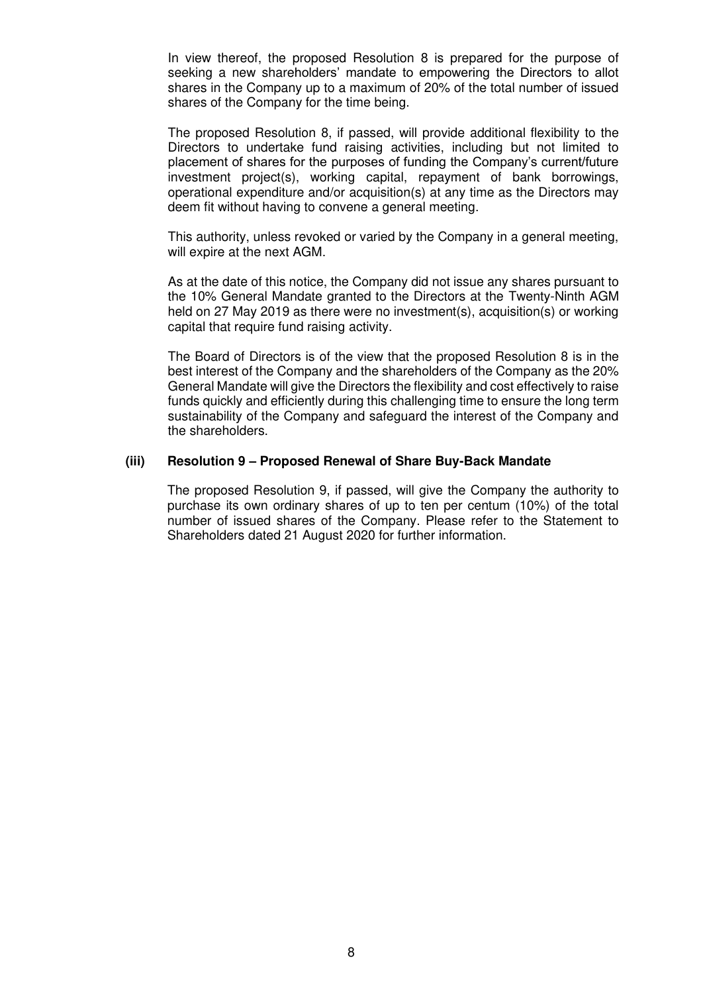In view thereof, the proposed Resolution 8 is prepared for the purpose of seeking a new shareholders' mandate to empowering the Directors to allot shares in the Company up to a maximum of 20% of the total number of issued shares of the Company for the time being.

The proposed Resolution 8, if passed, will provide additional flexibility to the Directors to undertake fund raising activities, including but not limited to placement of shares for the purposes of funding the Company's current/future investment project(s), working capital, repayment of bank borrowings, operational expenditure and/or acquisition(s) at any time as the Directors may deem fit without having to convene a general meeting.

This authority, unless revoked or varied by the Company in a general meeting, will expire at the next AGM.

As at the date of this notice, the Company did not issue any shares pursuant to the 10% General Mandate granted to the Directors at the Twenty-Ninth AGM held on 27 May 2019 as there were no investment(s), acquisition(s) or working capital that require fund raising activity.

The Board of Directors is of the view that the proposed Resolution 8 is in the best interest of the Company and the shareholders of the Company as the 20% General Mandate will give the Directors the flexibility and cost effectively to raise funds quickly and efficiently during this challenging time to ensure the long term sustainability of the Company and safeguard the interest of the Company and the shareholders.

#### **(iii) Resolution 9 – Proposed Renewal of Share Buy-Back Mandate**

The proposed Resolution 9, if passed, will give the Company the authority to purchase its own ordinary shares of up to ten per centum (10%) of the total number of issued shares of the Company. Please refer to the Statement to Shareholders dated 21 August 2020 for further information.